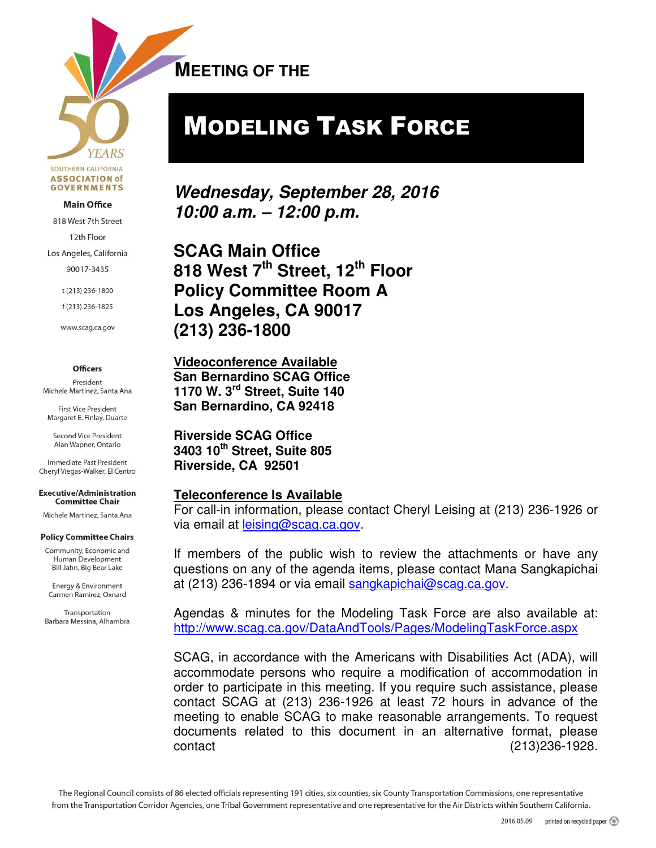**YEARS** SOUTHERN CALIFORNIA **ASSOCIATION of GOVERNMENTS** 

#### **Main Office**

818 West 7th Street

12th Floor

Los Angeles, California

90017-3435

t (213) 236-1800

f(213) 236-1825

www.scag.ca.gov

#### **Officers**

President Michele Martinez, Santa Ana

**First Vice President** Margaret E. Finlay, Duarte

Second Vice President Alan Wapner, Ontario

Immediate Past President Cheryl Viegas-Walker, El Centro

**Executive/Administration Committee Chair** 

Michele Martinez, Santa Ana

#### **Policy Committee Chairs**

Community, Economic and Human Development Bill Jahn, Big Bear Lake

Energy & Environment Carmen Ramirez, Oxnard

Transportation Barbara Messina, Alhambra **MEETING OF THE**   $\overline{a}$ 

# MODELING TASK FORCE

**Wednesday, September 28, 2016 10:00 a.m. – 12:00 p.m.** 

**SCAG Main Office 818 West 7th Street, 12th Floor Policy Committee Room A Los Angeles, CA 90017 (213) 236-1800** 

**Videoconference Available San Bernardino SCAG Office 1170 W. 3rd Street, Suite 140 San Bernardino, CA 92418** 

**Riverside SCAG Office 3403 10th Street, Suite 805 Riverside, CA 92501** 

#### **Teleconference Is Available**

For call-in information, please contact Cheryl Leising at (213) 236-1926 or via email at leising@scag.ca.gov.

If members of the public wish to review the attachments or have any questions on any of the agenda items, please contact Mana Sangkapichai at (213) 236-1894 or via email sangkapichai@scag.ca.gov.

Agendas & minutes for the Modeling Task Force are also available at: http://www.scag.ca.gov/DataAndTools/Pages/ModelingTaskForce.aspx

SCAG, in accordance with the Americans with Disabilities Act (ADA), will accommodate persons who require a modification of accommodation in order to participate in this meeting. If you require such assistance, please contact SCAG at (213) 236-1926 at least 72 hours in advance of the meeting to enable SCAG to make reasonable arrangements. To request documents related to this document in an alternative format, please contact (213)236-1928.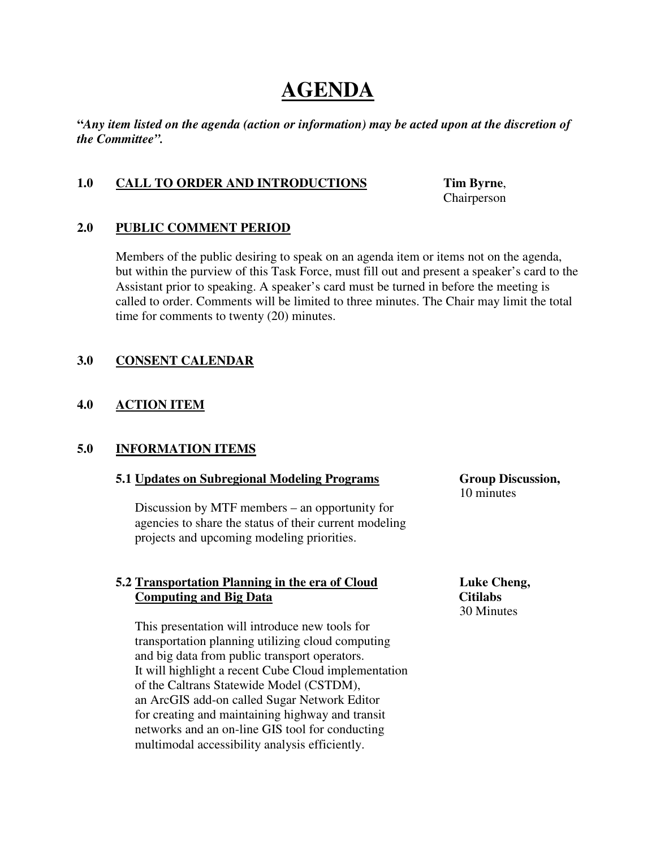# **AGENDA**

**"***Any item listed on the agenda (action or information) may be acted upon at the discretion of the Committee".* 

# **1.0 CALL TO ORDER AND INTRODUCTIONS Tim Byrne**,

Chairperson

# **2.0 PUBLIC COMMENT PERIOD**

Members of the public desiring to speak on an agenda item or items not on the agenda, but within the purview of this Task Force, must fill out and present a speaker's card to the Assistant prior to speaking. A speaker's card must be turned in before the meeting is called to order. Comments will be limited to three minutes. The Chair may limit the total time for comments to twenty (20) minutes.

# **3.0 CONSENT CALENDAR**

# **4.0 ACTION ITEM**

# **5.0 INFORMATION ITEMS**

# **5.1 Updates on Subregional Modeling Programs Group Discussion,**

Discussion by MTF members – an opportunity for agencies to share the status of their current modeling projects and upcoming modeling priorities.

# **5.2 Transportation Planning in the era of Cloud Luke Cheng,**  *Computing and Big Data* Citilabs

 This presentation will introduce new tools for transportation planning utilizing cloud computing and big data from public transport operators. It will highlight a recent Cube Cloud implementation of the Caltrans Statewide Model (CSTDM), an ArcGIS add-on called Sugar Network Editor for creating and maintaining highway and transit networks and an on-line GIS tool for conducting multimodal accessibility analysis efficiently.

10 minutes

30 Minutes